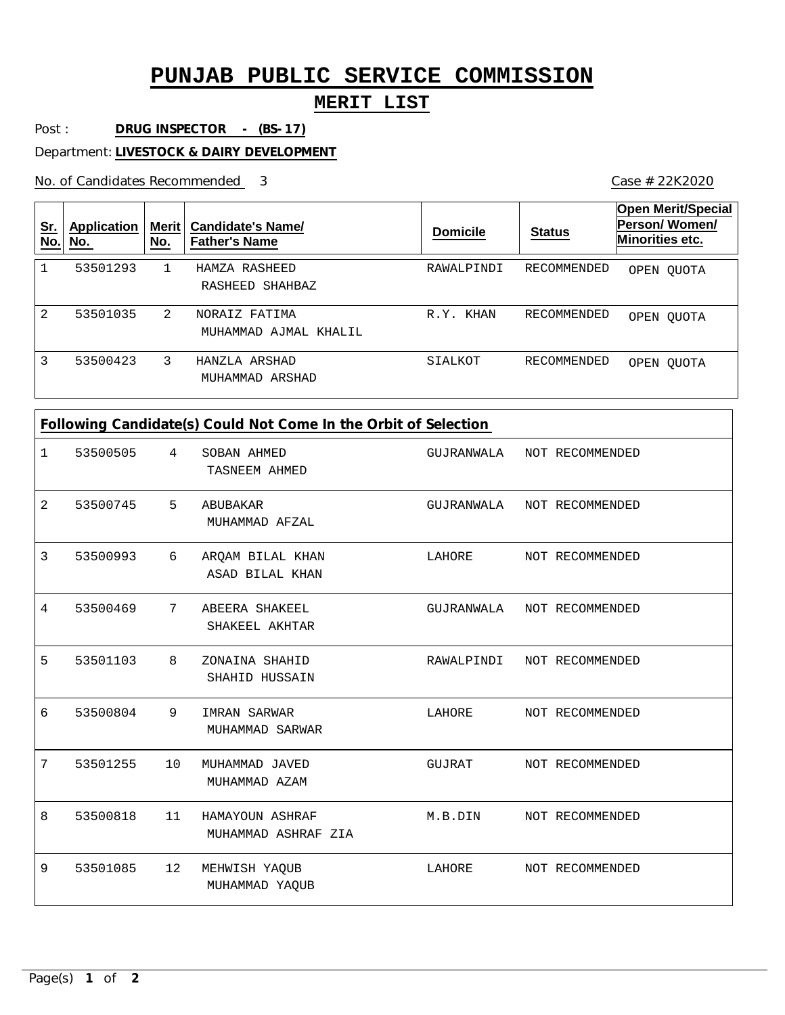## **PUNJAB PUBLIC SERVICE COMMISSION**

### **MERIT LIST**

Post : **DRUG INSPECTOR - (BS-17)**

Department: **LIVESTOCK & DAIRY DEVELOPMENT**

No. of Candidates Recommended

Case # 22K2020

| <u>Sr.</u><br>No. | <b>Application</b><br>No. | Merit  <br>No. | <b>Candidate's Name/</b><br><b>Father's Name</b> | <b>Domicile</b> | <b>Status</b> | <b>Open Merit/Special</b><br>Person/Women/<br>Minorities etc. |
|-------------------|---------------------------|----------------|--------------------------------------------------|-----------------|---------------|---------------------------------------------------------------|
|                   | 53501293                  |                | HAMZA RASHEED<br>RASHEED SHAHBAZ                 | RAWALPINDI      | RECOMMENDED   | OPEN OUOTA                                                    |
| 2                 | 53501035                  | 2              | NORAIZ FATIMA<br>MUHAMMAD AJMAL KHALIL           | KHAN<br>R.Y.    | RECOMMENDED   | OPEN OUOTA                                                    |
| 3                 | 53500423                  | 3              | HANZLA ARSHAD<br>MUHAMMAD ARSHAD                 | SIALKOT         | RECOMMENDED   | OPEN OUOTA                                                    |

# **Following Candidate(s) Could Not Come In the Orbit of Selection**

| 1              | 53500505 | $\overline{4}$ | SOBAN AHMED<br>TASNEEM AHMED           | GUJRANWALA NOT RECOMMENDED |                 |
|----------------|----------|----------------|----------------------------------------|----------------------------|-----------------|
| $\overline{a}$ | 53500745 | $5^{\circ}$    | ABUBAKAR<br>MUHAMMAD AFZAL             | GUJRANWALA                 | NOT RECOMMENDED |
| 3              | 53500993 | 6              | ARQAM BILAL KHAN<br>ASAD BILAL KHAN    | LAHORE                     | NOT RECOMMENDED |
| 4              | 53500469 | 7              | ABEERA SHAKEEL<br>SHAKEEL AKHTAR       | GUJRANWALA                 | NOT RECOMMENDED |
| 5              | 53501103 | 8              | ZONAINA SHAHID<br>SHAHID HUSSAIN       | RAWALPINDI                 | NOT RECOMMENDED |
| 6              | 53500804 | 9              | IMRAN SARWAR<br>MUHAMMAD SARWAR        | LAHORE                     | NOT RECOMMENDED |
| 7              | 53501255 | 10             | MUHAMMAD JAVED<br>MUHAMMAD AZAM        | GUJRAT                     | NOT RECOMMENDED |
| 8              | 53500818 | 11             | HAMAYOUN ASHRAF<br>MUHAMMAD ASHRAF ZIA | M.B.DIN                    | NOT RECOMMENDED |
| 9              | 53501085 | 12             | MEHWISH YAQUB<br>MUHAMMAD YAQUB        | LAHORE                     | NOT RECOMMENDED |
|                |          |                |                                        |                            |                 |